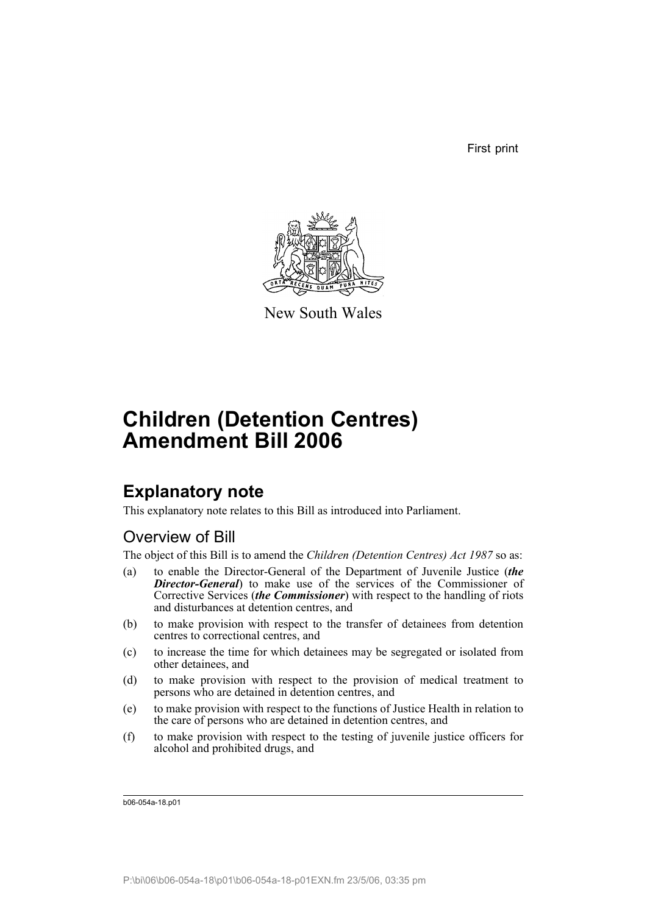First print



New South Wales

# **Children (Detention Centres) Amendment Bill 2006**

# **Explanatory note**

This explanatory note relates to this Bill as introduced into Parliament.

# Overview of Bill

The object of this Bill is to amend the *Children (Detention Centres) Act 1987* so as:

- (a) to enable the Director-General of the Department of Juvenile Justice (*the* **Director-General**) to make use of the services of the Commissioner of Corrective Services (*the Commissioner*) with respect to the handling of riots and disturbances at detention centres, and
- (b) to make provision with respect to the transfer of detainees from detention centres to correctional centres, and
- (c) to increase the time for which detainees may be segregated or isolated from other detainees, and
- (d) to make provision with respect to the provision of medical treatment to persons who are detained in detention centres, and
- (e) to make provision with respect to the functions of Justice Health in relation to the care of persons who are detained in detention centres, and
- (f) to make provision with respect to the testing of juvenile justice officers for alcohol and prohibited drugs, and

b06-054a-18.p01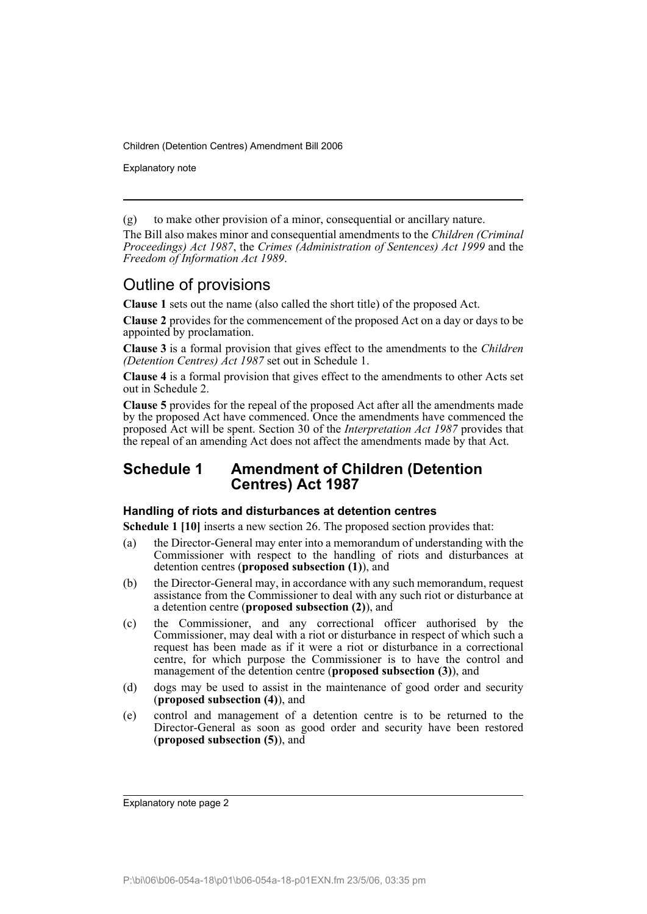Explanatory note

(g) to make other provision of a minor, consequential or ancillary nature.

The Bill also makes minor and consequential amendments to the *Children (Criminal Proceedings) Act 1987*, the *Crimes (Administration of Sentences) Act 1999* and the *Freedom of Information Act 1989*.

# Outline of provisions

**Clause 1** sets out the name (also called the short title) of the proposed Act.

**Clause 2** provides for the commencement of the proposed Act on a day or days to be appointed by proclamation.

**Clause 3** is a formal provision that gives effect to the amendments to the *Children (Detention Centres) Act 1987* set out in Schedule 1.

**Clause 4** is a formal provision that gives effect to the amendments to other Acts set out in Schedule 2.

**Clause 5** provides for the repeal of the proposed Act after all the amendments made by the proposed Act have commenced. Once the amendments have commenced the proposed Act will be spent. Section 30 of the *Interpretation Act 1987* provides that the repeal of an amending Act does not affect the amendments made by that Act.

# **Schedule 1 Amendment of Children (Detention Centres) Act 1987**

## **Handling of riots and disturbances at detention centres**

**Schedule 1 [10]** inserts a new section 26. The proposed section provides that:

- (a) the Director-General may enter into a memorandum of understanding with the Commissioner with respect to the handling of riots and disturbances at detention centres (**proposed subsection (1)**), and
- (b) the Director-General may, in accordance with any such memorandum, request assistance from the Commissioner to deal with any such riot or disturbance at a detention centre (**proposed subsection (2)**), and
- (c) the Commissioner, and any correctional officer authorised by the Commissioner, may deal with a riot or disturbance in respect of which such a request has been made as if it were a riot or disturbance in a correctional centre, for which purpose the Commissioner is to have the control and management of the detention centre (**proposed subsection (3)**), and
- (d) dogs may be used to assist in the maintenance of good order and security (**proposed subsection (4)**), and
- (e) control and management of a detention centre is to be returned to the Director-General as soon as good order and security have been restored (**proposed subsection (5)**), and

Explanatory note page 2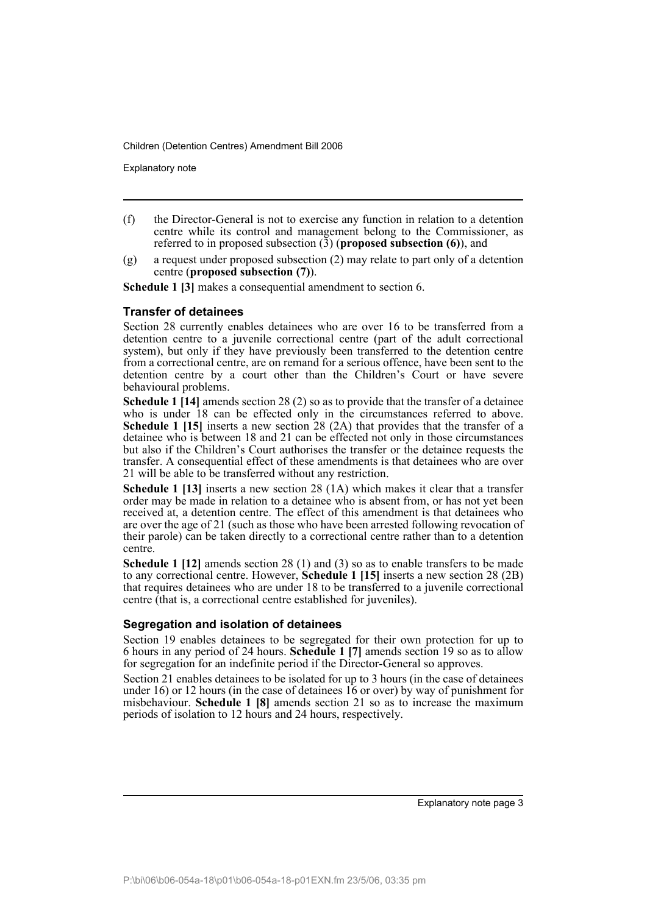Explanatory note

- (f) the Director-General is not to exercise any function in relation to a detention centre while its control and management belong to the Commissioner, as referred to in proposed subsection  $(\overline{3})$  (**proposed subsection (6)**), and
- (g) a request under proposed subsection (2) may relate to part only of a detention centre (**proposed subsection (7)**).

**Schedule 1 [3]** makes a consequential amendment to section 6.

## **Transfer of detainees**

Section 28 currently enables detainees who are over 16 to be transferred from a detention centre to a juvenile correctional centre (part of the adult correctional system), but only if they have previously been transferred to the detention centre from a correctional centre, are on remand for a serious offence, have been sent to the detention centre by a court other than the Children's Court or have severe behavioural problems.

**Schedule 1 [14]** amends section 28 (2) so as to provide that the transfer of a detainee who is under 18 can be effected only in the circumstances referred to above. **Schedule 1 [15]** inserts a new section 28 (2A) that provides that the transfer of a detainee who is between 18 and 21 can be effected not only in those circumstances but also if the Children's Court authorises the transfer or the detainee requests the transfer. A consequential effect of these amendments is that detainees who are over 21 will be able to be transferred without any restriction.

**Schedule 1 [13]** inserts a new section 28 (1A) which makes it clear that a transfer order may be made in relation to a detainee who is absent from, or has not yet been received at, a detention centre. The effect of this amendment is that detainees who are over the age of 21 (such as those who have been arrested following revocation of their parole) can be taken directly to a correctional centre rather than to a detention centre.

**Schedule 1 [12]** amends section 28 (1) and (3) so as to enable transfers to be made to any correctional centre. However, **Schedule 1 [15]** inserts a new section 28 (2B) that requires detainees who are under 18 to be transferred to a juvenile correctional centre (that is, a correctional centre established for juveniles).

## **Segregation and isolation of detainees**

Section 19 enables detainees to be segregated for their own protection for up to 6 hours in any period of 24 hours. **Schedule 1 [7]** amends section 19 so as to allow for segregation for an indefinite period if the Director-General so approves.

Section 21 enables detainees to be isolated for up to 3 hours (in the case of detainees under 16) or 12 hours (in the case of detainees  $16$  or over) by way of punishment for misbehaviour. **Schedule 1 [8]** amends section 21 so as to increase the maximum periods of isolation to 12 hours and 24 hours, respectively.

Explanatory note page 3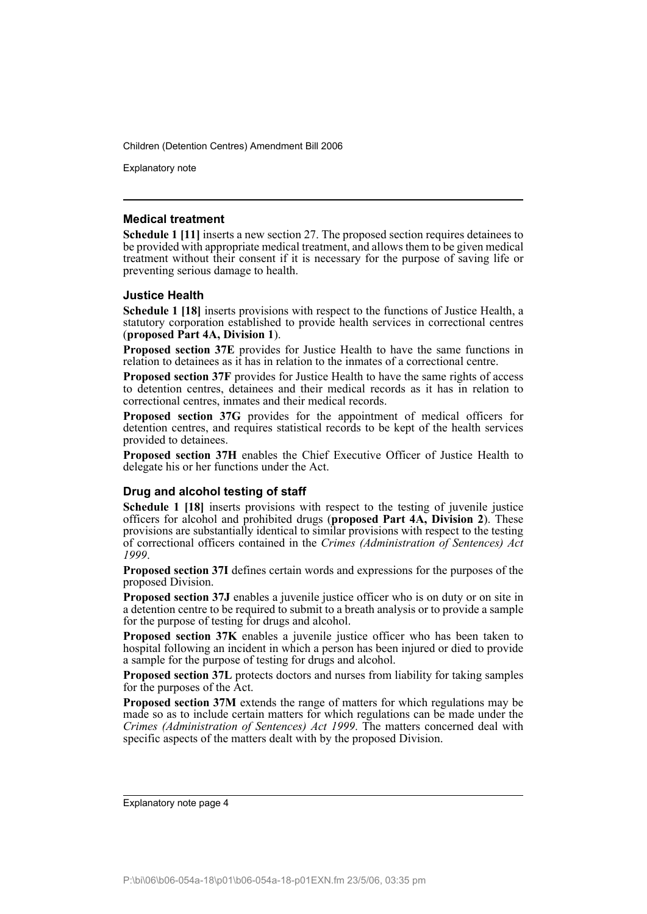Explanatory note

## **Medical treatment**

**Schedule 1 [11]** inserts a new section 27. The proposed section requires detainees to be provided with appropriate medical treatment, and allows them to be given medical treatment without their consent if it is necessary for the purpose of saving life or preventing serious damage to health.

## **Justice Health**

**Schedule 1 [18]** inserts provisions with respect to the functions of Justice Health, a statutory corporation established to provide health services in correctional centres (**proposed Part 4A, Division 1**).

**Proposed section 37E** provides for Justice Health to have the same functions in relation to detainees as it has in relation to the inmates of a correctional centre.

**Proposed section 37F** provides for Justice Health to have the same rights of access to detention centres, detainees and their medical records as it has in relation to correctional centres, inmates and their medical records.

**Proposed section 37G** provides for the appointment of medical officers for detention centres, and requires statistical records to be kept of the health services provided to detainees.

**Proposed section 37H** enables the Chief Executive Officer of Justice Health to delegate his or her functions under the Act.

## **Drug and alcohol testing of staff**

**Schedule 1 [18]** inserts provisions with respect to the testing of juvenile justice officers for alcohol and prohibited drugs (**proposed Part 4A, Division 2**). These provisions are substantially identical to similar provisions with respect to the testing of correctional officers contained in the *Crimes (Administration of Sentences) Act 1999*.

**Proposed section 37I** defines certain words and expressions for the purposes of the proposed Division.

**Proposed section 37J** enables a juvenile justice officer who is on duty or on site in a detention centre to be required to submit to a breath analysis or to provide a sample for the purpose of testing for drugs and alcohol.

**Proposed section 37K** enables a juvenile justice officer who has been taken to hospital following an incident in which a person has been injured or died to provide a sample for the purpose of testing for drugs and alcohol.

**Proposed section 37L** protects doctors and nurses from liability for taking samples for the purposes of the Act.

**Proposed section 37M** extends the range of matters for which regulations may be made so as to include certain matters for which regulations can be made under the *Crimes (Administration of Sentences) Act 1999*. The matters concerned deal with specific aspects of the matters dealt with by the proposed Division.

Explanatory note page 4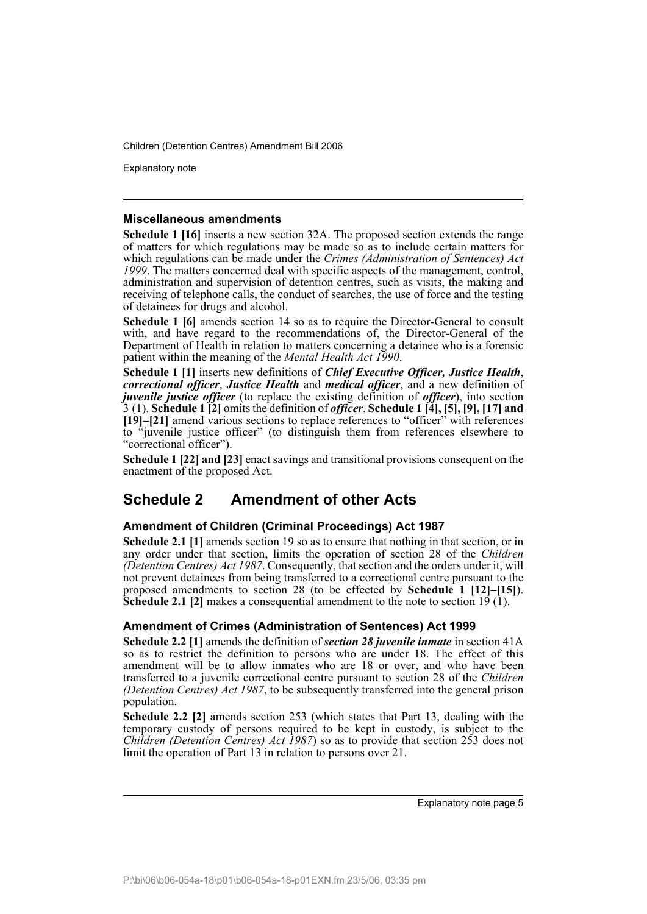Explanatory note

### **Miscellaneous amendments**

**Schedule 1 [16]** inserts a new section 32A. The proposed section extends the range of matters for which regulations may be made so as to include certain matters for which regulations can be made under the *Crimes (Administration of Sentences) Act 1999*. The matters concerned deal with specific aspects of the management, control, administration and supervision of detention centres, such as visits, the making and receiving of telephone calls, the conduct of searches, the use of force and the testing of detainees for drugs and alcohol.

**Schedule 1 [6]** amends section 14 so as to require the Director-General to consult with, and have regard to the recommendations of, the Director-General of the Department of Health in relation to matters concerning a detainee who is a forensic patient within the meaning of the *Mental Health Act 1990*.

**Schedule 1 [1]** inserts new definitions of *Chief Executive Officer, Justice Health*, *correctional officer*, *Justice Health* and *medical officer*, and a new definition of *juvenile justice officer* (to replace the existing definition of *officer*), into section 3 (1). **Schedule 1 [2]** omits the definition of *officer*. **Schedule 1 [4], [5], [9], [17] and [19]–[21]** amend various sections to replace references to "officer" with references to "juvenile justice officer" (to distinguish them from references elsewhere to "correctional officer").

**Schedule 1 [22] and [23]** enact savings and transitional provisions consequent on the enactment of the proposed Act.

# **Schedule 2 Amendment of other Acts**

## **Amendment of Children (Criminal Proceedings) Act 1987**

**Schedule 2.1 [1]** amends section 19 so as to ensure that nothing in that section, or in any order under that section, limits the operation of section 28 of the *Children (Detention Centres) Act 1987*. Consequently, that section and the orders under it, will not prevent detainees from being transferred to a correctional centre pursuant to the proposed amendments to section 28 (to be effected by **Schedule 1 [12]–[15]**). **Schedule 2.1 [2]** makes a consequential amendment to the note to section 19 (1).

## **Amendment of Crimes (Administration of Sentences) Act 1999**

**Schedule 2.2 [1]** amends the definition of *section 28 juvenile inmate* in section 41A so as to restrict the definition to persons who are under 18. The effect of this amendment will be to allow inmates who are 18 or over, and who have been transferred to a juvenile correctional centre pursuant to section 28 of the *Children (Detention Centres) Act 1987*, to be subsequently transferred into the general prison population.

**Schedule 2.2 [2]** amends section 253 (which states that Part 13, dealing with the temporary custody of persons required to be kept in custody, is subject to the *Children (Detention Centres) Act 1987*) so as to provide that section 253 does not limit the operation of Part 13 in relation to persons over 21.

Explanatory note page 5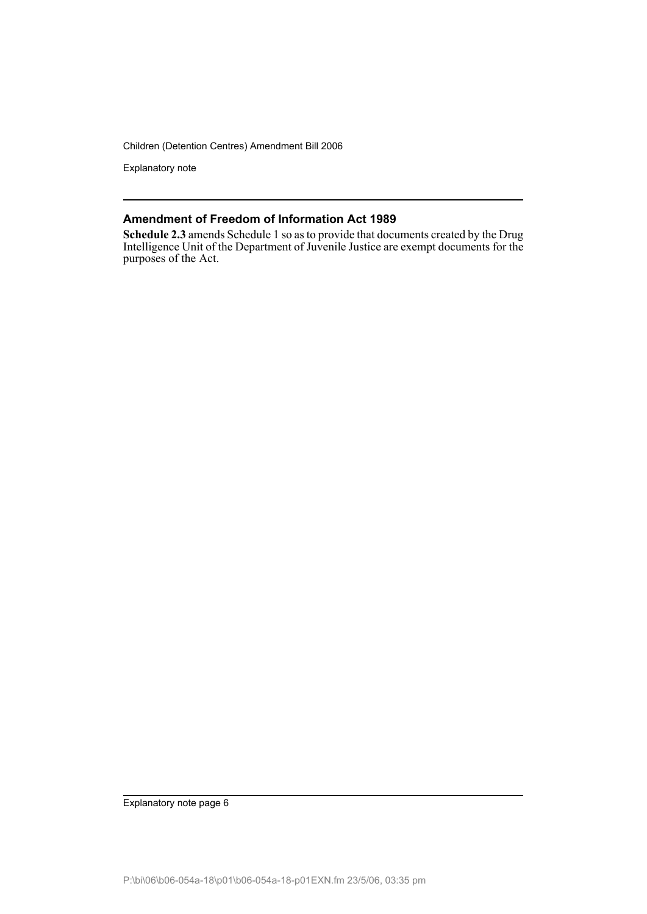Explanatory note

# **Amendment of Freedom of Information Act 1989**

**Schedule 2.3** amends Schedule 1 so as to provide that documents created by the Drug Intelligence Unit of the Department of Juvenile Justice are exempt documents for the purposes of the Act.

Explanatory note page 6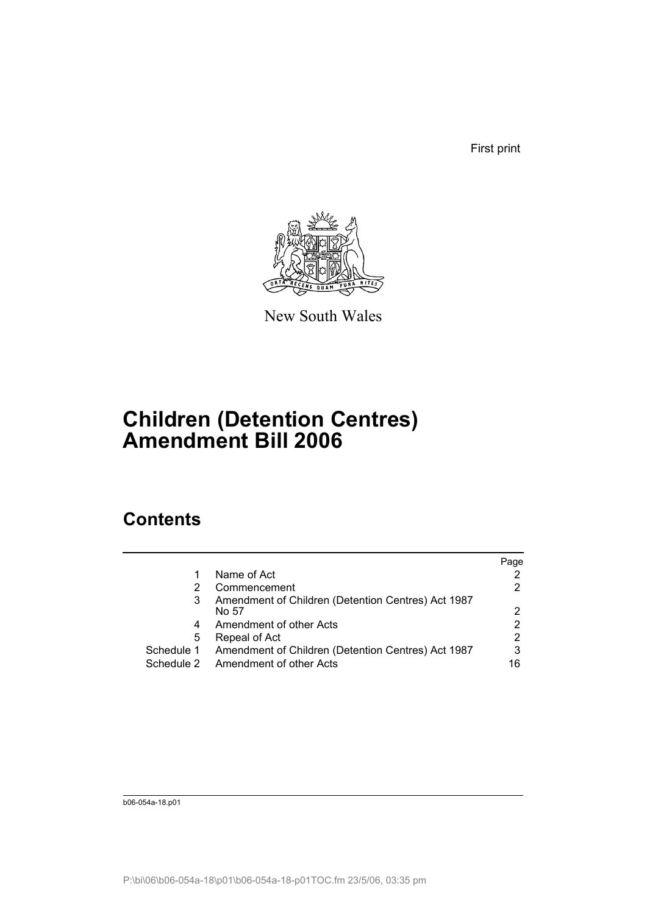First print



New South Wales

# **Children (Detention Centres) Amendment Bill 2006**

# **Contents**

|            |                                                    | Page |
|------------|----------------------------------------------------|------|
|            | Name of Act                                        |      |
|            | Commencement                                       |      |
| 3          | Amendment of Children (Detention Centres) Act 1987 |      |
|            | No 57                                              | 2    |
| 4          | Amendment of other Acts                            |      |
| 5          | Repeal of Act                                      | 2    |
| Schedule 1 | Amendment of Children (Detention Centres) Act 1987 | 3    |
|            | Schedule 2 Amendment of other Acts                 | 16   |

b06-054a-18.p01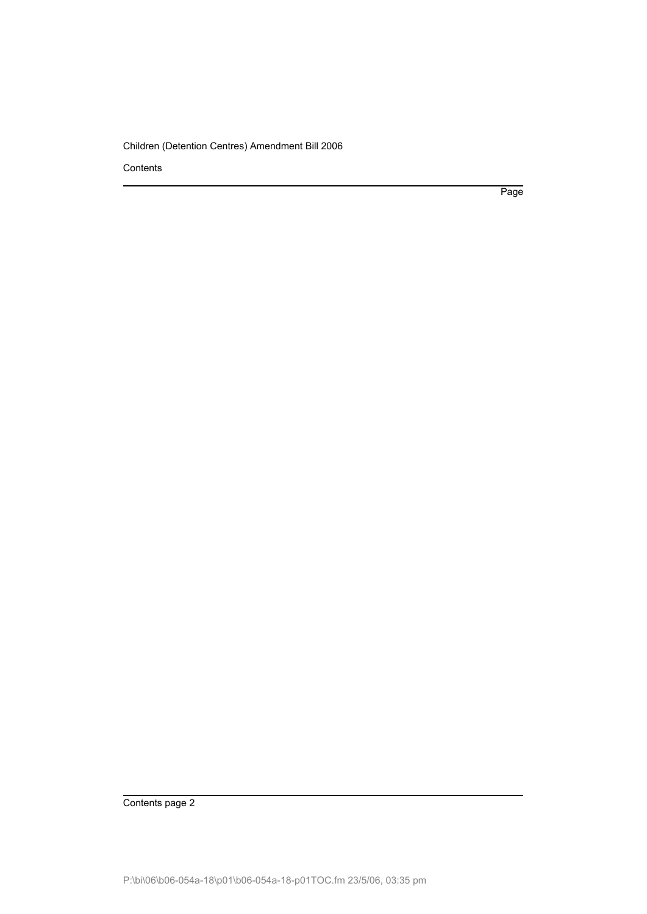Contents

Page

Contents page 2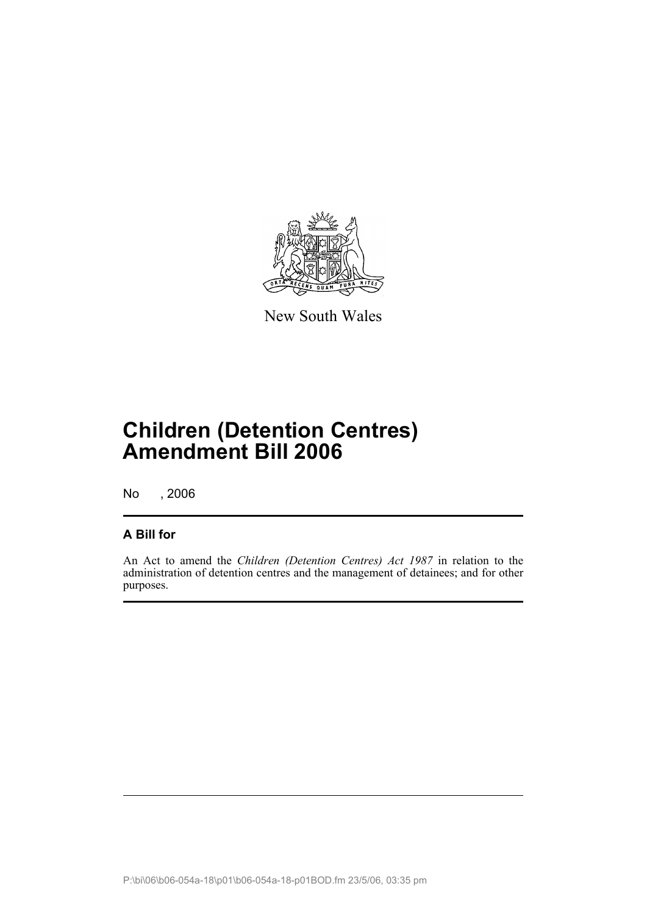

New South Wales

# **Children (Detention Centres) Amendment Bill 2006**

No , 2006

# **A Bill for**

An Act to amend the *Children (Detention Centres) Act 1987* in relation to the administration of detention centres and the management of detainees; and for other purposes.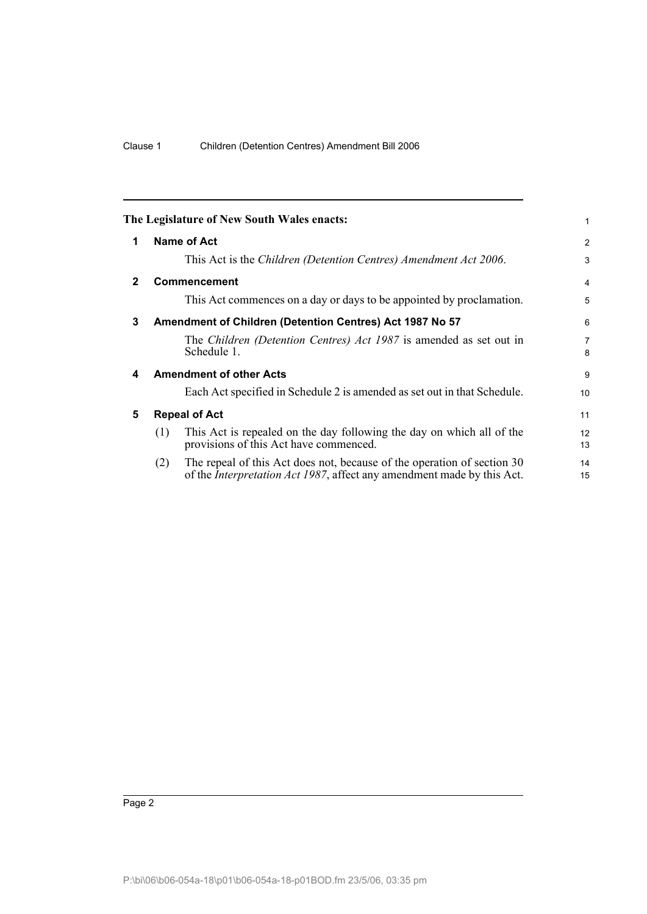<span id="page-9-4"></span><span id="page-9-3"></span><span id="page-9-2"></span><span id="page-9-1"></span><span id="page-9-0"></span>

|              |     | The Legislature of New South Wales enacts:                                                                                                        | 1                   |
|--------------|-----|---------------------------------------------------------------------------------------------------------------------------------------------------|---------------------|
| 1            |     | <b>Name of Act</b>                                                                                                                                | 2                   |
|              |     | This Act is the Children (Detention Centres) Amendment Act 2006.                                                                                  | 3                   |
| $\mathbf{2}$ |     | <b>Commencement</b>                                                                                                                               | $\overline{4}$      |
|              |     | This Act commences on a day or days to be appointed by proclamation.                                                                              | 5                   |
| 3            |     | Amendment of Children (Detention Centres) Act 1987 No 57                                                                                          | 6                   |
|              |     | The Children (Detention Centres) Act 1987 is amended as set out in<br>Schedule 1.                                                                 | $\overline{7}$<br>8 |
| 4            |     | <b>Amendment of other Acts</b>                                                                                                                    | 9                   |
|              |     | Each Act specified in Schedule 2 is amended as set out in that Schedule.                                                                          | 10                  |
| 5            |     | <b>Repeal of Act</b>                                                                                                                              | 11                  |
|              | (1) | This Act is repealed on the day following the day on which all of the<br>provisions of this Act have commenced.                                   | 12<br>13            |
|              | (2) | The repeal of this Act does not, because of the operation of section 30<br>of the Interpretation Act 1987, affect any amendment made by this Act. | 14<br>15            |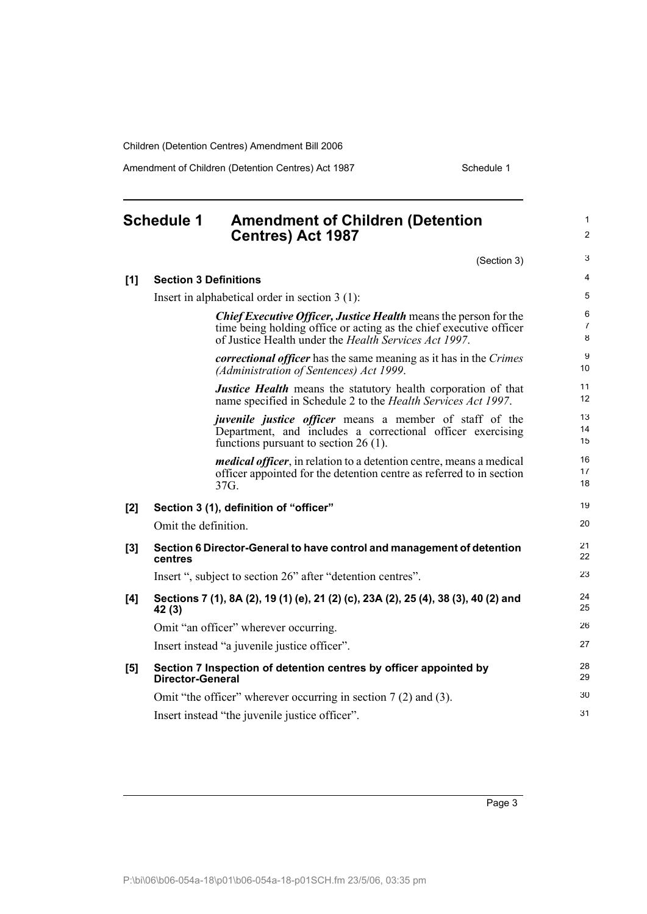Amendment of Children (Detention Centres) Act 1987 Schedule 1

1  $\overline{2}$ 

# <span id="page-10-0"></span>**Schedule 1 Amendment of Children (Detention Centres) Act 1987**

(Section 3) **[1] Section 3 Definitions** Insert in alphabetical order in section 3 (1): *Chief Executive Officer, Justice Health* means the person for the time being holding office or acting as the chief executive officer of Justice Health under the *Health Services Act 1997*. *correctional officer* has the same meaning as it has in the *Crimes (Administration of Sentences) Act 1999*. *Justice Health* means the statutory health corporation of that name specified in Schedule 2 to the *Health Services Act 1997*. *juvenile justice officer* means a member of staff of the Department, and includes a correctional officer exercising functions pursuant to section 26 (1). *medical officer*, in relation to a detention centre, means a medical officer appointed for the detention centre as referred to in section 37G. **[2] Section 3 (1), definition of "officer"** Omit the definition. **[3] Section 6 Director-General to have control and management of detention centres** Insert ", subject to section 26" after "detention centres". **[4] Sections 7 (1), 8A (2), 19 (1) (e), 21 (2) (c), 23A (2), 25 (4), 38 (3), 40 (2) and 42 (3)** Omit "an officer" wherever occurring. Insert instead "a juvenile justice officer". **[5] Section 7 Inspection of detention centres by officer appointed by Director-General** Omit "the officer" wherever occurring in section 7 (2) and (3). Insert instead "the juvenile justice officer". 3 4 5 6 7 8 9 10 11 12 13 14 15 16 17 18 19 20 21  $22$ 23 24 25 26 27 28 29 30 31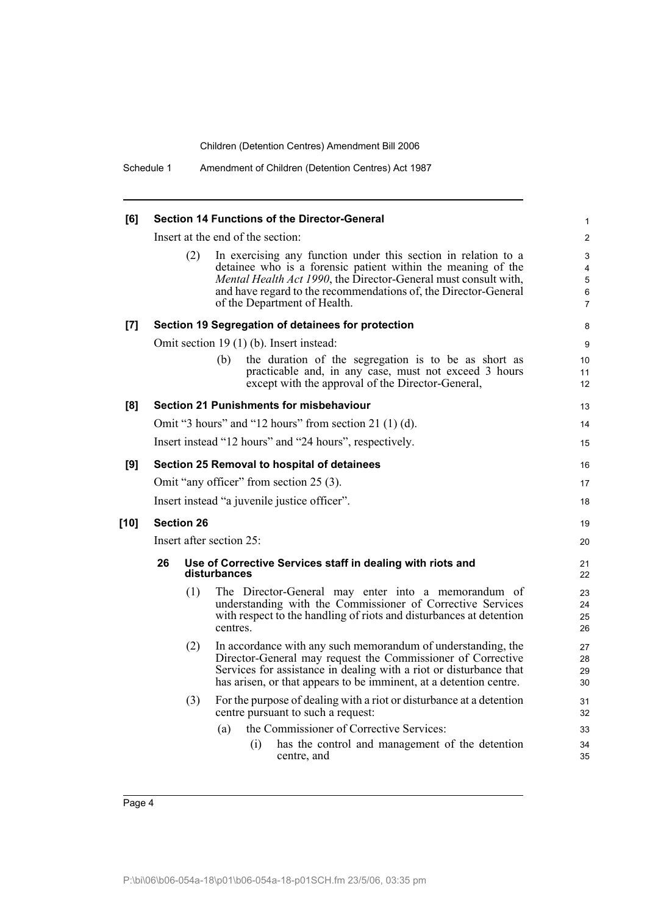| [6]    | <b>Section 14 Functions of the Director-General</b> |                   |                                                                                                                                                                                                                                                                                                      |                                    |  |  |  |
|--------|-----------------------------------------------------|-------------------|------------------------------------------------------------------------------------------------------------------------------------------------------------------------------------------------------------------------------------------------------------------------------------------------------|------------------------------------|--|--|--|
|        |                                                     |                   | Insert at the end of the section:                                                                                                                                                                                                                                                                    | $\mathbf{2}$                       |  |  |  |
|        |                                                     | (2)               | In exercising any function under this section in relation to a<br>detainee who is a forensic patient within the meaning of the<br>Mental Health Act 1990, the Director-General must consult with,<br>and have regard to the recommendations of, the Director-General<br>of the Department of Health. | 3<br>4<br>5<br>6<br>$\overline{7}$ |  |  |  |
| [7]    |                                                     |                   | Section 19 Segregation of detainees for protection                                                                                                                                                                                                                                                   | 8                                  |  |  |  |
|        |                                                     |                   | Omit section 19 (1) (b). Insert instead:                                                                                                                                                                                                                                                             | 9                                  |  |  |  |
|        |                                                     |                   | the duration of the segregation is to be as short as<br>(b)<br>practicable and, in any case, must not exceed 3 hours<br>except with the approval of the Director-General,                                                                                                                            | 10<br>11<br>12                     |  |  |  |
| [8]    |                                                     |                   | <b>Section 21 Punishments for misbehaviour</b>                                                                                                                                                                                                                                                       | 13                                 |  |  |  |
|        |                                                     |                   | Omit "3 hours" and "12 hours" from section $21(1)(d)$ .                                                                                                                                                                                                                                              | 14                                 |  |  |  |
|        |                                                     |                   | Insert instead "12 hours" and "24 hours", respectively.                                                                                                                                                                                                                                              | 15                                 |  |  |  |
| [9]    |                                                     |                   | Section 25 Removal to hospital of detainees                                                                                                                                                                                                                                                          | 16                                 |  |  |  |
|        |                                                     |                   | Omit "any officer" from section 25 (3).                                                                                                                                                                                                                                                              | 17                                 |  |  |  |
|        |                                                     |                   | Insert instead "a juvenile justice officer".                                                                                                                                                                                                                                                         | 18                                 |  |  |  |
| $[10]$ |                                                     | <b>Section 26</b> |                                                                                                                                                                                                                                                                                                      | 19                                 |  |  |  |
|        |                                                     |                   | Insert after section 25:                                                                                                                                                                                                                                                                             | 20                                 |  |  |  |
|        | 26                                                  |                   | Use of Corrective Services staff in dealing with riots and<br>disturbances                                                                                                                                                                                                                           | 21<br>22                           |  |  |  |
|        |                                                     | (1)               | The Director-General may enter into a memorandum of<br>understanding with the Commissioner of Corrective Services<br>with respect to the handling of riots and disturbances at detention<br>centres.                                                                                                 | 23<br>24<br>25<br>26               |  |  |  |
|        |                                                     | (2)               | In accordance with any such memorandum of understanding, the<br>Director-General may request the Commissioner of Corrective<br>Services for assistance in dealing with a riot or disturbance that<br>has arisen, or that appears to be imminent, at a detention centre.                              | 27<br>28<br>29<br>30               |  |  |  |
|        |                                                     | (3)               | For the purpose of dealing with a riot or disturbance at a detention<br>centre pursuant to such a request:<br>the Commissioner of Corrective Services:<br>(a)<br>has the control and management of the detention<br>(i)<br>centre, and                                                               | 31<br>32<br>33<br>34<br>35         |  |  |  |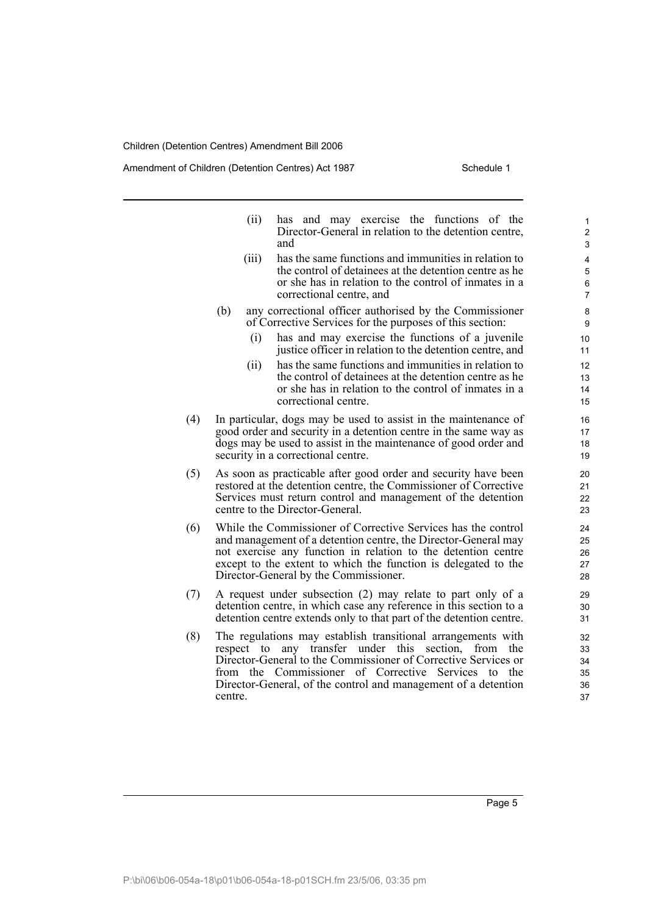Amendment of Children (Detention Centres) Act 1987 Schedule 1

- (ii) has and may exercise the functions of the Director-General in relation to the detention centre, and
- (iii) has the same functions and immunities in relation to the control of detainees at the detention centre as he or she has in relation to the control of inmates in a correctional centre, and
- (b) any correctional officer authorised by the Commissioner of Corrective Services for the purposes of this section:
	- (i) has and may exercise the functions of a juvenile justice officer in relation to the detention centre, and
	- (ii) has the same functions and immunities in relation to the control of detainees at the detention centre as he or she has in relation to the control of inmates in a correctional centre.
- (4) In particular, dogs may be used to assist in the maintenance of good order and security in a detention centre in the same way as dogs may be used to assist in the maintenance of good order and security in a correctional centre.
- (5) As soon as practicable after good order and security have been restored at the detention centre, the Commissioner of Corrective Services must return control and management of the detention centre to the Director-General.
- (6) While the Commissioner of Corrective Services has the control and management of a detention centre, the Director-General may not exercise any function in relation to the detention centre except to the extent to which the function is delegated to the Director-General by the Commissioner.
- (7) A request under subsection (2) may relate to part only of a detention centre, in which case any reference in this section to a detention centre extends only to that part of the detention centre.
- (8) The regulations may establish transitional arrangements with respect to any transfer under this section, from the Director-General to the Commissioner of Corrective Services or from the Commissioner of Corrective Services to the Director-General, of the control and management of a detention centre.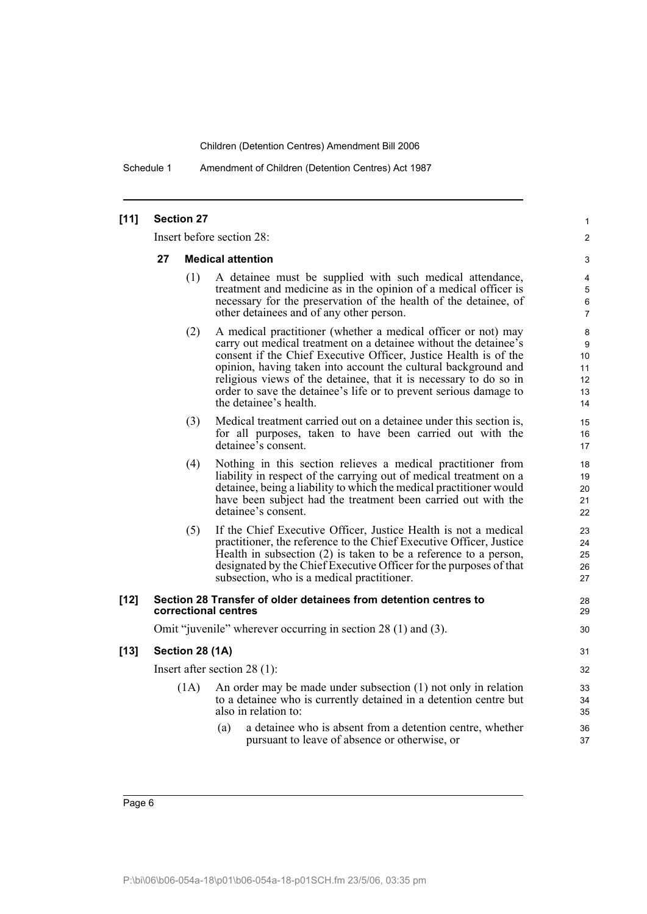Schedule 1 Amendment of Children (Detention Centres) Act 1987

| $[11]$ |                                | <b>Section 27</b> |                                                                                                                                                                                                                                                                                                                                                                                                                                             | 1                                    |  |
|--------|--------------------------------|-------------------|---------------------------------------------------------------------------------------------------------------------------------------------------------------------------------------------------------------------------------------------------------------------------------------------------------------------------------------------------------------------------------------------------------------------------------------------|--------------------------------------|--|
|        |                                |                   | Insert before section 28:                                                                                                                                                                                                                                                                                                                                                                                                                   | 2                                    |  |
|        | 27                             |                   | <b>Medical attention</b>                                                                                                                                                                                                                                                                                                                                                                                                                    | 3                                    |  |
|        |                                | (1)               | A detainee must be supplied with such medical attendance,<br>treatment and medicine as in the opinion of a medical officer is<br>necessary for the preservation of the health of the detainee, of<br>other detainees and of any other person.                                                                                                                                                                                               | 4<br>5<br>6<br>$\overline{7}$        |  |
|        |                                | (2)               | A medical practitioner (whether a medical officer or not) may<br>carry out medical treatment on a detainee without the detainee's<br>consent if the Chief Executive Officer, Justice Health is of the<br>opinion, having taken into account the cultural background and<br>religious views of the detainee, that it is necessary to do so in<br>order to save the detainee's life or to prevent serious damage to<br>the detainee's health. | 8<br>9<br>10<br>11<br>12<br>13<br>14 |  |
|        |                                | (3)               | Medical treatment carried out on a detainee under this section is,<br>for all purposes, taken to have been carried out with the<br>detainee's consent.                                                                                                                                                                                                                                                                                      | 15<br>16<br>17                       |  |
|        |                                | (4)               | Nothing in this section relieves a medical practitioner from<br>liability in respect of the carrying out of medical treatment on a<br>detainee, being a liability to which the medical practitioner would<br>have been subject had the treatment been carried out with the<br>detainee's consent.                                                                                                                                           | 18<br>19<br>20<br>21<br>22           |  |
|        |                                | (5)               | If the Chief Executive Officer, Justice Health is not a medical<br>practitioner, the reference to the Chief Executive Officer, Justice<br>Health in subsection $(2)$ is taken to be a reference to a person,<br>designated by the Chief Executive Officer for the purposes of that<br>subsection, who is a medical practitioner.                                                                                                            | 23<br>24<br>25<br>26<br>27           |  |
| $[12]$ |                                |                   | Section 28 Transfer of older detainees from detention centres to<br>correctional centres                                                                                                                                                                                                                                                                                                                                                    | 28<br>29                             |  |
|        |                                |                   | Omit "juvenile" wherever occurring in section 28 (1) and (3).                                                                                                                                                                                                                                                                                                                                                                               | 30                                   |  |
| $[13]$ |                                | Section 28 (1A)   |                                                                                                                                                                                                                                                                                                                                                                                                                                             | 31                                   |  |
|        | Insert after section $28(1)$ : |                   |                                                                                                                                                                                                                                                                                                                                                                                                                                             |                                      |  |
|        |                                | (1A)              | An order may be made under subsection (1) not only in relation<br>to a detainee who is currently detained in a detention centre but<br>also in relation to:                                                                                                                                                                                                                                                                                 | 33<br>34<br>35                       |  |
|        |                                |                   | a detainee who is absent from a detention centre, whether<br>(a)<br>pursuant to leave of absence or otherwise, or                                                                                                                                                                                                                                                                                                                           | 36<br>37                             |  |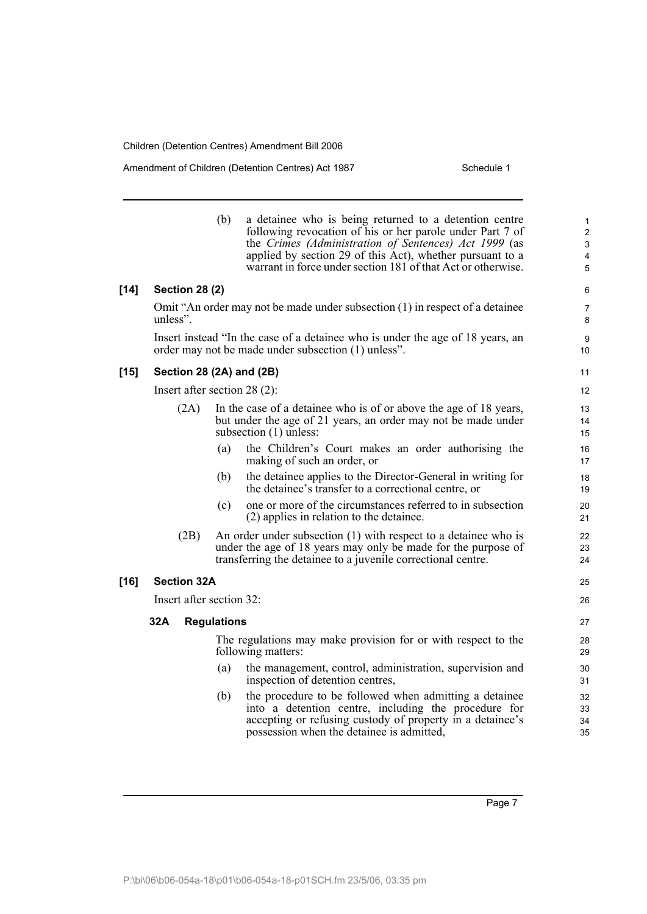Amendment of Children (Detention Centres) Act 1987 Schedule 1

|        |                              | (b)                | a detainee who is being returned to a detention centre<br>following revocation of his or her parole under Part 7 of<br>the Crimes (Administration of Sentences) Act 1999 (as<br>applied by section 29 of this Act), whether pursuant to a<br>warrant in force under section 181 of that Act or otherwise. | 1<br>$\overline{c}$<br>$\mathfrak{S}$<br>4<br>5 |
|--------|------------------------------|--------------------|-----------------------------------------------------------------------------------------------------------------------------------------------------------------------------------------------------------------------------------------------------------------------------------------------------------|-------------------------------------------------|
| $[14]$ | <b>Section 28 (2)</b>        |                    |                                                                                                                                                                                                                                                                                                           | 6                                               |
|        | unless".                     |                    | Omit "An order may not be made under subsection (1) in respect of a detainee                                                                                                                                                                                                                              | 7<br>8                                          |
|        |                              |                    | Insert instead "In the case of a detainee who is under the age of 18 years, an<br>order may not be made under subsection (1) unless".                                                                                                                                                                     | 9<br>10                                         |
| $[15]$ | Section 28 (2A) and (2B)     |                    |                                                                                                                                                                                                                                                                                                           | 11                                              |
|        | Insert after section 28 (2): |                    |                                                                                                                                                                                                                                                                                                           | 12                                              |
|        | (2A)                         |                    | In the case of a detainee who is of or above the age of 18 years,<br>but under the age of 21 years, an order may not be made under<br>subsection (1) unless:                                                                                                                                              | 13<br>14<br>15                                  |
|        |                              | (a)                | the Children's Court makes an order authorising the<br>making of such an order, or                                                                                                                                                                                                                        | 16<br>17                                        |
|        |                              | (b)                | the detainee applies to the Director-General in writing for<br>the detainee's transfer to a correctional centre, or                                                                                                                                                                                       | 18<br>19                                        |
|        |                              | (c)                | one or more of the circumstances referred to in subsection<br>(2) applies in relation to the detainee.                                                                                                                                                                                                    | 20<br>21                                        |
|        | (2B)                         |                    | An order under subsection (1) with respect to a detainee who is<br>under the age of 18 years may only be made for the purpose of<br>transferring the detainee to a juvenile correctional centre.                                                                                                          | 22<br>23<br>24                                  |
| $[16]$ | <b>Section 32A</b>           |                    |                                                                                                                                                                                                                                                                                                           | 25                                              |
|        | Insert after section 32:     |                    |                                                                                                                                                                                                                                                                                                           | 26                                              |
|        | 32A                          | <b>Regulations</b> |                                                                                                                                                                                                                                                                                                           | 27                                              |
|        |                              |                    | The regulations may make provision for or with respect to the<br>following matters:                                                                                                                                                                                                                       | 28<br>29                                        |
|        |                              | (a)                | the management, control, administration, supervision and<br>inspection of detention centres,                                                                                                                                                                                                              | 30<br>31                                        |
|        |                              | (b)                | the procedure to be followed when admitting a detainee<br>into a detention centre, including the procedure for<br>accepting or refusing custody of property in a detainee's<br>possession when the detainee is admitted,                                                                                  | 32<br>33<br>34<br>35                            |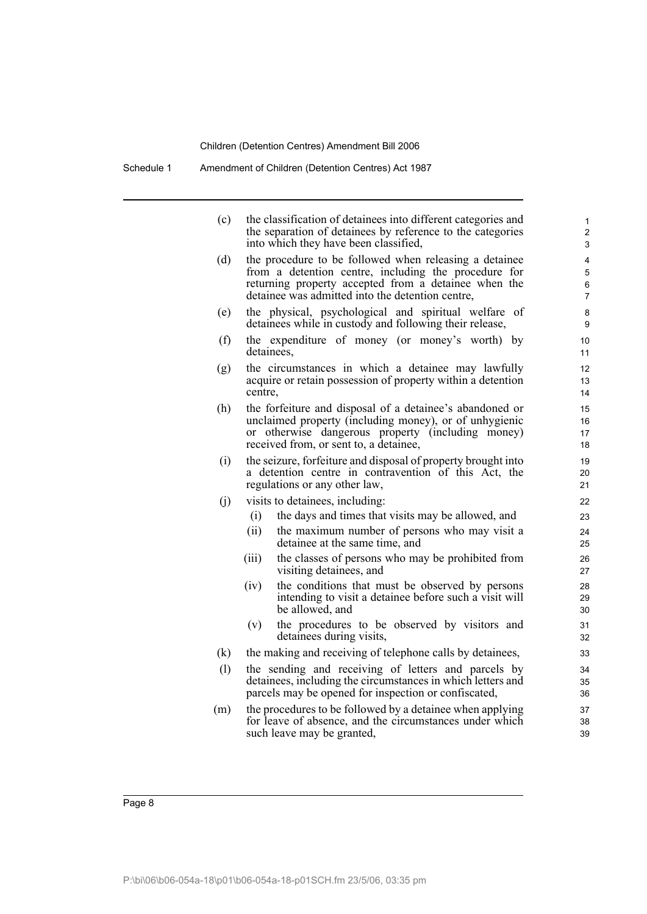Schedule 1 Amendment of Children (Detention Centres) Act 1987

| 1<br>2<br>3                   | the classification of detainees into different categories and<br>the separation of detainees by reference to the categories<br>into which they have been classified,                                                       | (c) |
|-------------------------------|----------------------------------------------------------------------------------------------------------------------------------------------------------------------------------------------------------------------------|-----|
| 4<br>5<br>6<br>$\overline{7}$ | the procedure to be followed when releasing a detainee<br>from a detention centre, including the procedure for<br>returning property accepted from a detainee when the<br>detainee was admitted into the detention centre, | (d) |
| 8<br>9                        | the physical, psychological and spiritual welfare of<br>detainees while in custody and following their release,                                                                                                            | (e) |
| 10<br>11                      | the expenditure of money (or money's worth) by<br>detainees,                                                                                                                                                               | (f) |
| 12<br>13<br>14                | the circumstances in which a detainee may lawfully<br>acquire or retain possession of property within a detention<br>centre,                                                                                               | (g) |
| 15<br>16<br>17<br>18          | the forfeiture and disposal of a detainee's abandoned or<br>unclaimed property (including money), or of unhygienic<br>or otherwise dangerous property (including money)<br>received from, or sent to, a detainee,          | (h) |
| 19<br>20<br>21                | the seizure, forfeiture and disposal of property brought into<br>a detention centre in contravention of this Act, the<br>regulations or any other law,                                                                     | (i) |
| 22                            | visits to detainees, including:                                                                                                                                                                                            | (j) |
| 23                            | the days and times that visits may be allowed, and<br>(i)                                                                                                                                                                  |     |
| 24<br>25                      | (ii)<br>the maximum number of persons who may visit a<br>detainee at the same time, and                                                                                                                                    |     |
| 26<br>27                      | the classes of persons who may be prohibited from<br>(iii)<br>visiting detainees, and                                                                                                                                      |     |
| 28<br>29<br>30                | the conditions that must be observed by persons<br>(iv)<br>intending to visit a detainee before such a visit will<br>be allowed, and                                                                                       |     |
| 31<br>32                      | the procedures to be observed by visitors and<br>(v)<br>detainees during visits,                                                                                                                                           |     |
| 33                            | the making and receiving of telephone calls by detainees,                                                                                                                                                                  | (k) |
| 34<br>35<br>36                | the sending and receiving of letters and parcels by<br>detainees, including the circumstances in which letters and<br>parcels may be opened for inspection or confiscated,                                                 | (1) |
| 37<br>38<br>39                | the procedures to be followed by a detainee when applying<br>for leave of absence, and the circumstances under which<br>such leave may be granted,                                                                         | (m) |
|                               |                                                                                                                                                                                                                            |     |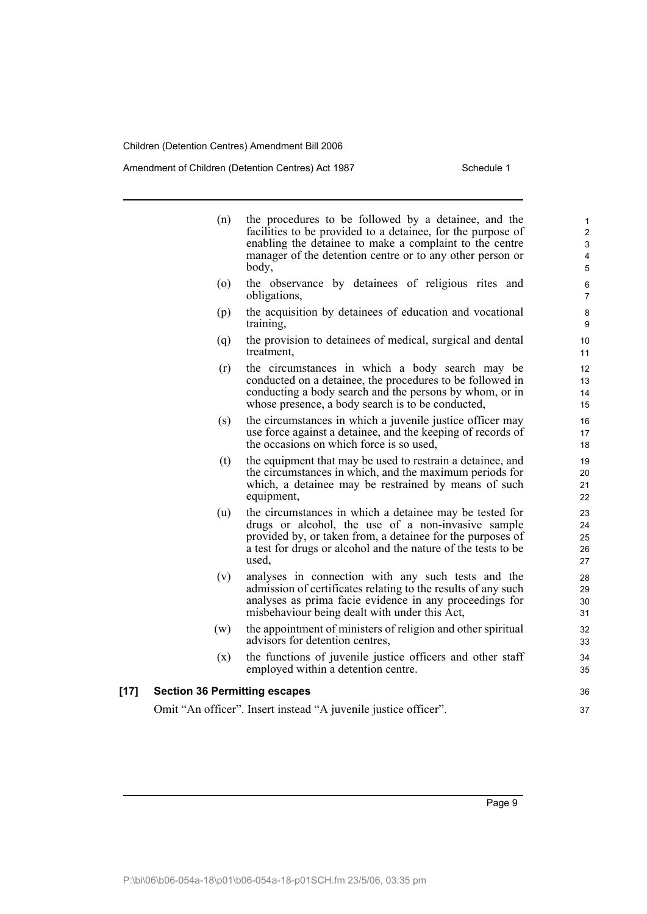Amendment of Children (Detention Centres) Act 1987 Schedule 1

|        | (n)                                  | the procedures to be followed by a detainee, and the<br>facilities to be provided to a detainee, for the purpose of<br>enabling the detainee to make a complaint to the centre<br>manager of the detention centre or to any other person or<br>body,  | 1<br>$\overline{c}$<br>$\mathbf{3}$<br>$\overline{\mathbf{4}}$<br>5 |
|--------|--------------------------------------|-------------------------------------------------------------------------------------------------------------------------------------------------------------------------------------------------------------------------------------------------------|---------------------------------------------------------------------|
|        | (0)                                  | the observance by detainees of religious rites and<br>obligations,                                                                                                                                                                                    | $\,6$<br>7                                                          |
|        | (p)                                  | the acquisition by detainees of education and vocational<br>training,                                                                                                                                                                                 | 8<br>9                                                              |
|        | (q)                                  | the provision to detainees of medical, surgical and dental<br>treatment,                                                                                                                                                                              | 10<br>11                                                            |
|        | (r)                                  | the circumstances in which a body search may be<br>conducted on a detainee, the procedures to be followed in<br>conducting a body search and the persons by whom, or in<br>whose presence, a body search is to be conducted,                          | 12<br>13<br>14<br>15                                                |
|        | (s)                                  | the circumstances in which a juvenile justice officer may<br>use force against a detainee, and the keeping of records of<br>the occasions on which force is so used,                                                                                  | 16<br>17<br>18                                                      |
|        | (t)                                  | the equipment that may be used to restrain a detainee, and<br>the circumstances in which, and the maximum periods for<br>which, a detainee may be restrained by means of such<br>equipment,                                                           | 19<br>20<br>21<br>22                                                |
|        | (u)                                  | the circumstances in which a detainee may be tested for<br>drugs or alcohol, the use of a non-invasive sample<br>provided by, or taken from, a detainee for the purposes of<br>a test for drugs or alcohol and the nature of the tests to be<br>used, | 23<br>24<br>25<br>26<br>27                                          |
|        | (v)                                  | analyses in connection with any such tests and the<br>admission of certificates relating to the results of any such<br>analyses as prima facie evidence in any proceedings for<br>misbehaviour being dealt with under this Act,                       | 28<br>29<br>30<br>31                                                |
|        | (w)                                  | the appointment of ministers of religion and other spiritual<br>advisors for detention centres,                                                                                                                                                       | 32<br>33                                                            |
|        | (x)                                  | the functions of juvenile justice officers and other staff<br>employed within a detention centre.                                                                                                                                                     | 34<br>35                                                            |
| $[17]$ | <b>Section 36 Permitting escapes</b> |                                                                                                                                                                                                                                                       | 36                                                                  |
|        |                                      | Omit "An officer". Insert instead "A juvenile justice officer".                                                                                                                                                                                       | 37                                                                  |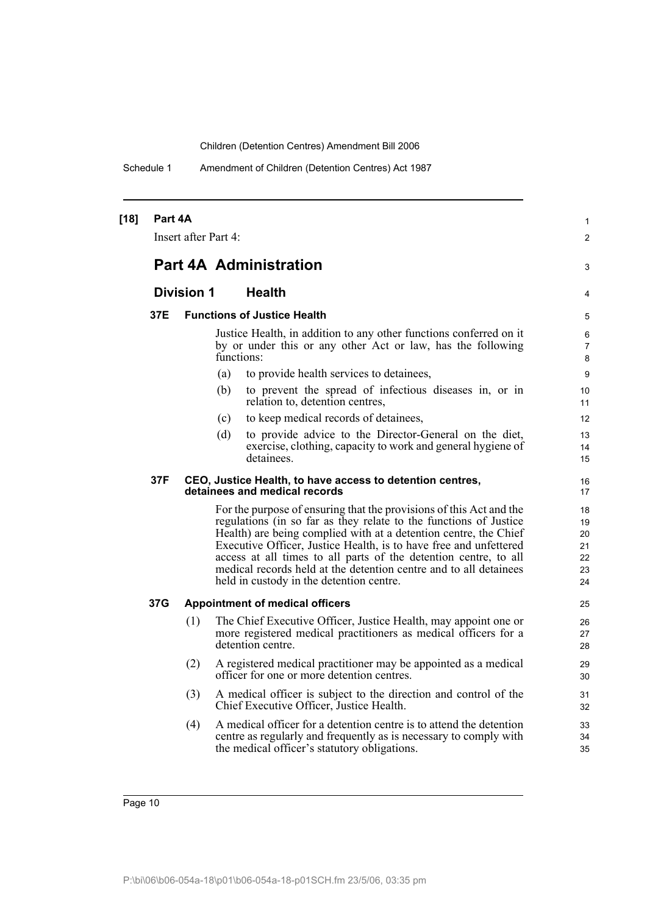Schedule 1 Amendment of Children (Detention Centres) Act 1987

| $[18]$ | Part 4A<br>Insert after Part 4: |                   |     |                                                                                                                                                                                                                                                                                                                                                                                                                                                                        |                                        |
|--------|---------------------------------|-------------------|-----|------------------------------------------------------------------------------------------------------------------------------------------------------------------------------------------------------------------------------------------------------------------------------------------------------------------------------------------------------------------------------------------------------------------------------------------------------------------------|----------------------------------------|
|        |                                 |                   |     | <b>Part 4A Administration</b>                                                                                                                                                                                                                                                                                                                                                                                                                                          | 3                                      |
|        |                                 | <b>Division 1</b> |     | Health                                                                                                                                                                                                                                                                                                                                                                                                                                                                 | 4                                      |
|        | 37E                             |                   |     | <b>Functions of Justice Health</b>                                                                                                                                                                                                                                                                                                                                                                                                                                     | 5                                      |
|        |                                 |                   |     | Justice Health, in addition to any other functions conferred on it<br>by or under this or any other Act or law, has the following<br>functions:                                                                                                                                                                                                                                                                                                                        | 6<br>$\overline{7}$<br>8               |
|        |                                 |                   | (a) | to provide health services to detainees,                                                                                                                                                                                                                                                                                                                                                                                                                               | 9                                      |
|        |                                 |                   | (b) | to prevent the spread of infectious diseases in, or in<br>relation to, detention centres,                                                                                                                                                                                                                                                                                                                                                                              | 10<br>11                               |
|        |                                 |                   | (c) | to keep medical records of detainees,                                                                                                                                                                                                                                                                                                                                                                                                                                  | 12                                     |
|        |                                 |                   | (d) | to provide advice to the Director-General on the diet,<br>exercise, clothing, capacity to work and general hygiene of<br>detainees.                                                                                                                                                                                                                                                                                                                                    | 13<br>14<br>15                         |
|        | 37F                             |                   |     | CEO, Justice Health, to have access to detention centres,<br>detainees and medical records                                                                                                                                                                                                                                                                                                                                                                             | 16<br>17                               |
|        |                                 |                   |     | For the purpose of ensuring that the provisions of this Act and the<br>regulations (in so far as they relate to the functions of Justice<br>Health) are being complied with at a detention centre, the Chief<br>Executive Officer, Justice Health, is to have free and unfettered<br>access at all times to all parts of the detention centre, to all<br>medical records held at the detention centre and to all detainees<br>held in custody in the detention centre. | 18<br>19<br>20<br>21<br>22<br>23<br>24 |
|        | 37G                             |                   |     | <b>Appointment of medical officers</b>                                                                                                                                                                                                                                                                                                                                                                                                                                 | 25                                     |
|        |                                 | (1)               |     | The Chief Executive Officer, Justice Health, may appoint one or<br>more registered medical practitioners as medical officers for a<br>detention centre.                                                                                                                                                                                                                                                                                                                | 26<br>27<br>28                         |
|        |                                 | (2)               |     | A registered medical practitioner may be appointed as a medical<br>officer for one or more detention centres.                                                                                                                                                                                                                                                                                                                                                          | 29<br>30                               |
|        |                                 | (3)               |     | A medical officer is subject to the direction and control of the<br>Chief Executive Officer, Justice Health.                                                                                                                                                                                                                                                                                                                                                           | 31<br>32                               |
|        |                                 | (4)               |     | A medical officer for a detention centre is to attend the detention<br>centre as regularly and frequently as is necessary to comply with<br>the medical officer's statutory obligations.                                                                                                                                                                                                                                                                               | 33<br>34<br>35                         |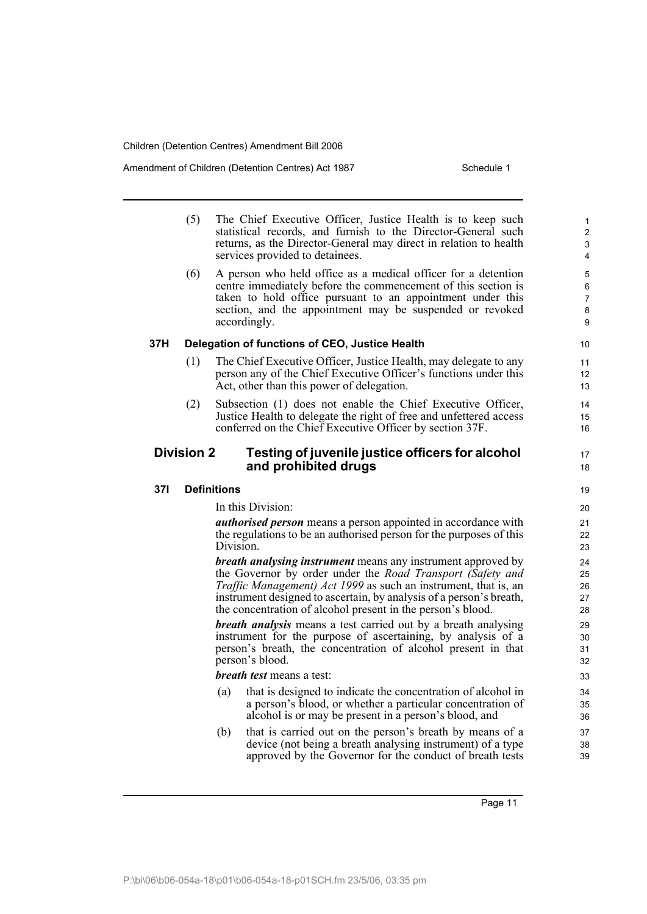### Amendment of Children (Detention Centres) Act 1987 Schedule 1

17 18

- (5) The Chief Executive Officer, Justice Health is to keep such statistical records, and furnish to the Director-General such returns, as the Director-General may direct in relation to health services provided to detainees.
- (6) A person who held office as a medical officer for a detention centre immediately before the commencement of this section is taken to hold office pursuant to an appointment under this section, and the appointment may be suspended or revoked accordingly.

#### **37H Delegation of functions of CEO, Justice Health**

- (1) The Chief Executive Officer, Justice Health, may delegate to any person any of the Chief Executive Officer's functions under this Act, other than this power of delegation.
- (2) Subsection (1) does not enable the Chief Executive Officer, Justice Health to delegate the right of free and unfettered access conferred on the Chief Executive Officer by section 37F.

## **Division 2 Testing of juvenile justice officers for alcohol and prohibited drugs**

## **37I Definitions**

In this Division:

*authorised person* means a person appointed in accordance with the regulations to be an authorised person for the purposes of this Division.

*breath analysing instrument* means any instrument approved by the Governor by order under the *Road Transport (Safety and Traffic Management) Act 1999* as such an instrument, that is, an instrument designed to ascertain, by analysis of a person's breath, the concentration of alcohol present in the person's blood.

*breath analysis* means a test carried out by a breath analysing instrument for the purpose of ascertaining, by analysis of a person's breath, the concentration of alcohol present in that person's blood.

*breath test* means a test:

- (a) that is designed to indicate the concentration of alcohol in a person's blood, or whether a particular concentration of alcohol is or may be present in a person's blood, and
- (b) that is carried out on the person's breath by means of a device (not being a breath analysing instrument) of a type approved by the Governor for the conduct of breath tests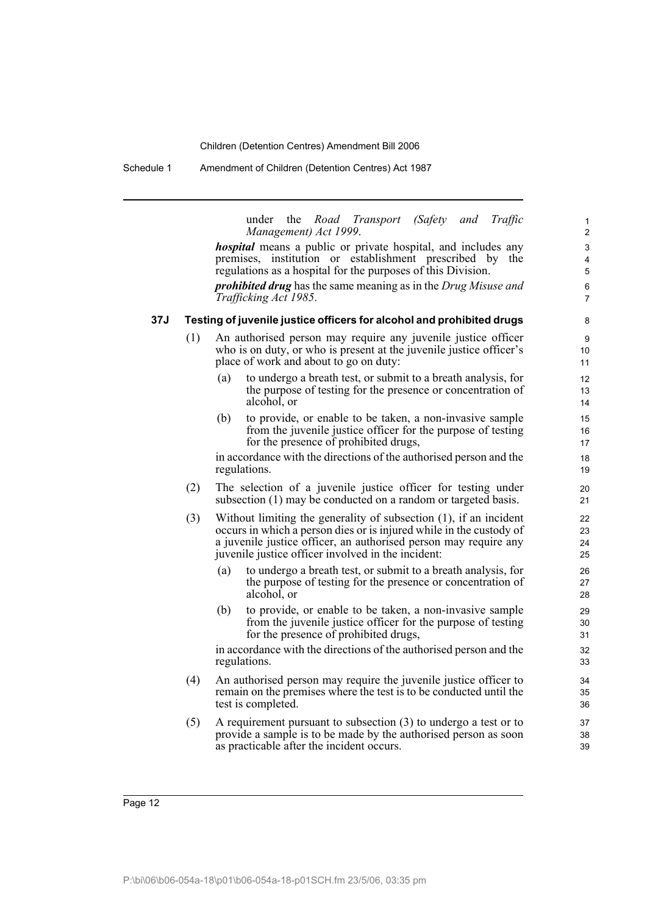Schedule 1 Amendment of Children (Detention Centres) Act 1987

under the *Road Transport (Safety and Traffic Management) Act 1999*.

*hospital* means a public or private hospital, and includes any premises, institution or establishment prescribed by the regulations as a hospital for the purposes of this Division.

*prohibited drug* has the same meaning as in the *Drug Misuse and Trafficking Act 1985*.

### **37J Testing of juvenile justice officers for alcohol and prohibited drugs**

- (1) An authorised person may require any juvenile justice officer who is on duty, or who is present at the juvenile justice officer's place of work and about to go on duty:
	- (a) to undergo a breath test, or submit to a breath analysis, for the purpose of testing for the presence or concentration of alcohol, or
	- (b) to provide, or enable to be taken, a non-invasive sample from the juvenile justice officer for the purpose of testing for the presence of prohibited drugs,

in accordance with the directions of the authorised person and the regulations.

- (2) The selection of a juvenile justice officer for testing under subsection (1) may be conducted on a random or targeted basis.
- (3) Without limiting the generality of subsection (1), if an incident occurs in which a person dies or is injured while in the custody of a juvenile justice officer, an authorised person may require any juvenile justice officer involved in the incident:
	- (a) to undergo a breath test, or submit to a breath analysis, for the purpose of testing for the presence or concentration of alcohol, or
	- (b) to provide, or enable to be taken, a non-invasive sample from the juvenile justice officer for the purpose of testing for the presence of prohibited drugs,

in accordance with the directions of the authorised person and the regulations.

- (4) An authorised person may require the juvenile justice officer to remain on the premises where the test is to be conducted until the test is completed.
- (5) A requirement pursuant to subsection (3) to undergo a test or to provide a sample is to be made by the authorised person as soon as practicable after the incident occurs.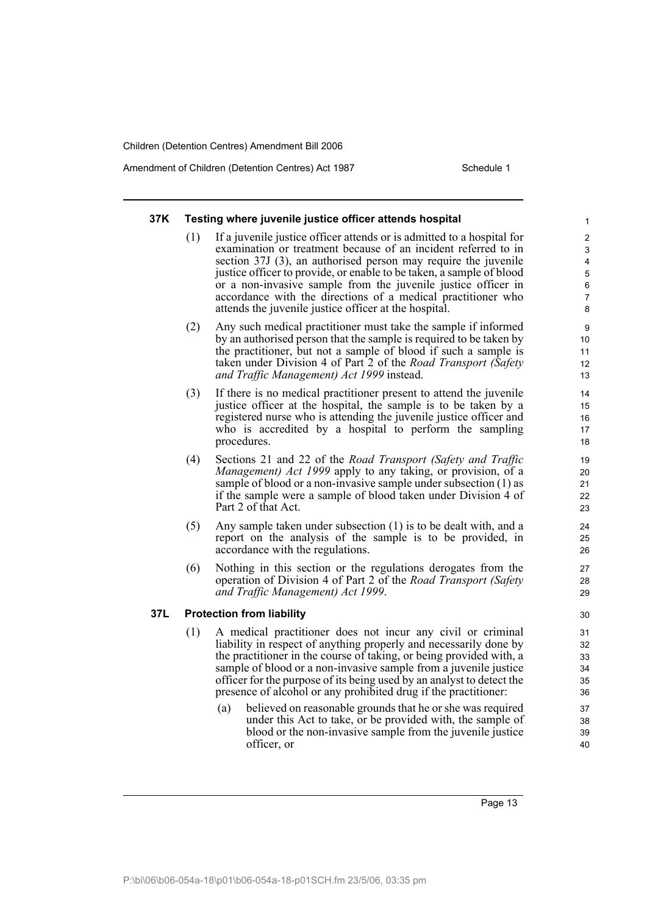Amendment of Children (Detention Centres) Act 1987 Schedule 1

## **37K Testing where juvenile justice officer attends hospital**

- (1) If a juvenile justice officer attends or is admitted to a hospital for examination or treatment because of an incident referred to in section 37J (3), an authorised person may require the juvenile justice officer to provide, or enable to be taken, a sample of blood or a non-invasive sample from the juvenile justice officer in accordance with the directions of a medical practitioner who attends the juvenile justice officer at the hospital.
- (2) Any such medical practitioner must take the sample if informed by an authorised person that the sample is required to be taken by the practitioner, but not a sample of blood if such a sample is taken under Division 4 of Part 2 of the *Road Transport (Safety and Traffic Management) Act 1999* instead.
- (3) If there is no medical practitioner present to attend the juvenile justice officer at the hospital, the sample is to be taken by a registered nurse who is attending the juvenile justice officer and who is accredited by a hospital to perform the sampling procedures.
- (4) Sections 21 and 22 of the *Road Transport (Safety and Traffic Management) Act 1999* apply to any taking, or provision, of a sample of blood or a non-invasive sample under subsection (1) as if the sample were a sample of blood taken under Division 4 of Part 2 of that Act.
- (5) Any sample taken under subsection (1) is to be dealt with, and a report on the analysis of the sample is to be provided, in accordance with the regulations.
- (6) Nothing in this section or the regulations derogates from the operation of Division 4 of Part 2 of the *Road Transport (Safety and Traffic Management) Act 1999*.

## **37L Protection from liability**

- (1) A medical practitioner does not incur any civil or criminal liability in respect of anything properly and necessarily done by the practitioner in the course of taking, or being provided with, a sample of blood or a non-invasive sample from a juvenile justice officer for the purpose of its being used by an analyst to detect the presence of alcohol or any prohibited drug if the practitioner:
	- (a) believed on reasonable grounds that he or she was required under this Act to take, or be provided with, the sample of blood or the non-invasive sample from the juvenile justice officer, or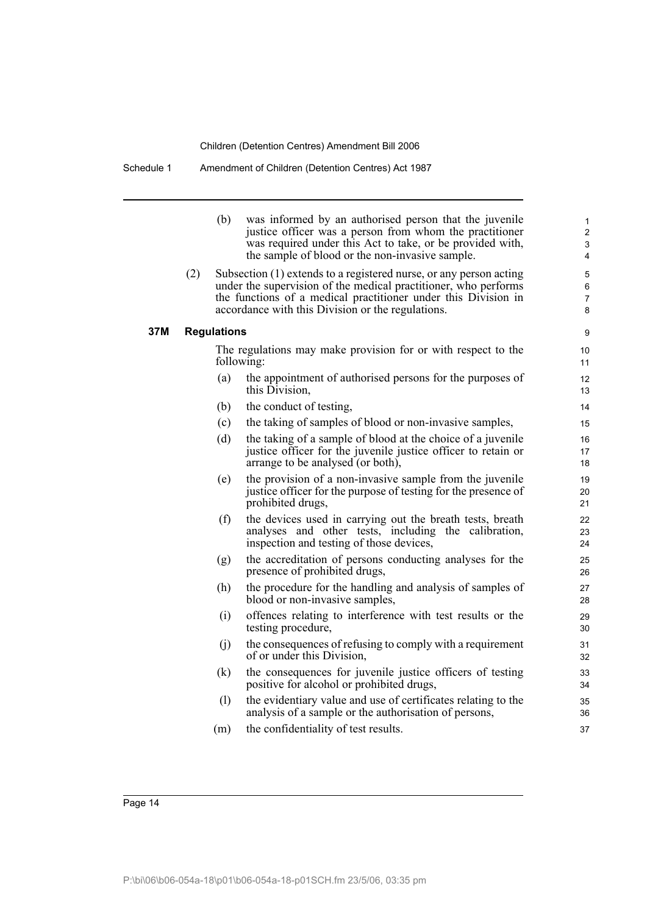|     |     | (b)<br>was informed by an authorised person that the juvenile<br>justice officer was a person from whom the practitioner<br>was required under this Act to take, or be provided with,<br>the sample of blood or the non-invasive sample.                     | 1<br>$\overline{\mathbf{c}}$<br>3<br>4 |
|-----|-----|--------------------------------------------------------------------------------------------------------------------------------------------------------------------------------------------------------------------------------------------------------------|----------------------------------------|
|     | (2) | Subsection (1) extends to a registered nurse, or any person acting<br>under the supervision of the medical practitioner, who performs<br>the functions of a medical practitioner under this Division in<br>accordance with this Division or the regulations. | 5<br>6<br>7<br>8                       |
| 37M |     | <b>Regulations</b>                                                                                                                                                                                                                                           | 9                                      |
|     |     | The regulations may make provision for or with respect to the<br>following:                                                                                                                                                                                  | 10<br>11                               |
|     |     | (a)<br>the appointment of authorised persons for the purposes of<br>this Division,                                                                                                                                                                           | 12<br>13                               |
|     |     | the conduct of testing,<br>(b)                                                                                                                                                                                                                               | 14                                     |
|     |     | the taking of samples of blood or non-invasive samples,<br>(c)                                                                                                                                                                                               | 15                                     |
|     |     | (d)<br>the taking of a sample of blood at the choice of a juvenile<br>justice officer for the juvenile justice officer to retain or<br>arrange to be analysed (or both),                                                                                     | 16<br>17<br>18                         |
|     |     | the provision of a non-invasive sample from the juvenile<br>(e)<br>justice officer for the purpose of testing for the presence of<br>prohibited drugs,                                                                                                       | 19<br>20<br>21                         |
|     |     | (f)<br>the devices used in carrying out the breath tests, breath<br>analyses and other tests, including the calibration,<br>inspection and testing of those devices,                                                                                         | 22<br>23<br>24                         |
|     |     | the accreditation of persons conducting analyses for the<br>(g)<br>presence of prohibited drugs,                                                                                                                                                             | 25<br>26                               |
|     |     | the procedure for the handling and analysis of samples of<br>(h)<br>blood or non-invasive samples,                                                                                                                                                           | 27<br>28                               |
|     |     | (i)<br>offences relating to interference with test results or the<br>testing procedure,                                                                                                                                                                      | 29<br>30                               |
|     |     | the consequences of refusing to comply with a requirement<br>(i)<br>of or under this Division,                                                                                                                                                               | 31<br>32                               |
|     |     | the consequences for juvenile justice officers of testing<br>(k)<br>positive for alcohol or prohibited drugs,                                                                                                                                                | 33<br>34                               |
|     |     | (1)<br>the evidentiary value and use of certificates relating to the<br>analysis of a sample or the authorisation of persons,                                                                                                                                | 35<br>36                               |
|     |     | the confidentiality of test results.<br>(m)                                                                                                                                                                                                                  | 37                                     |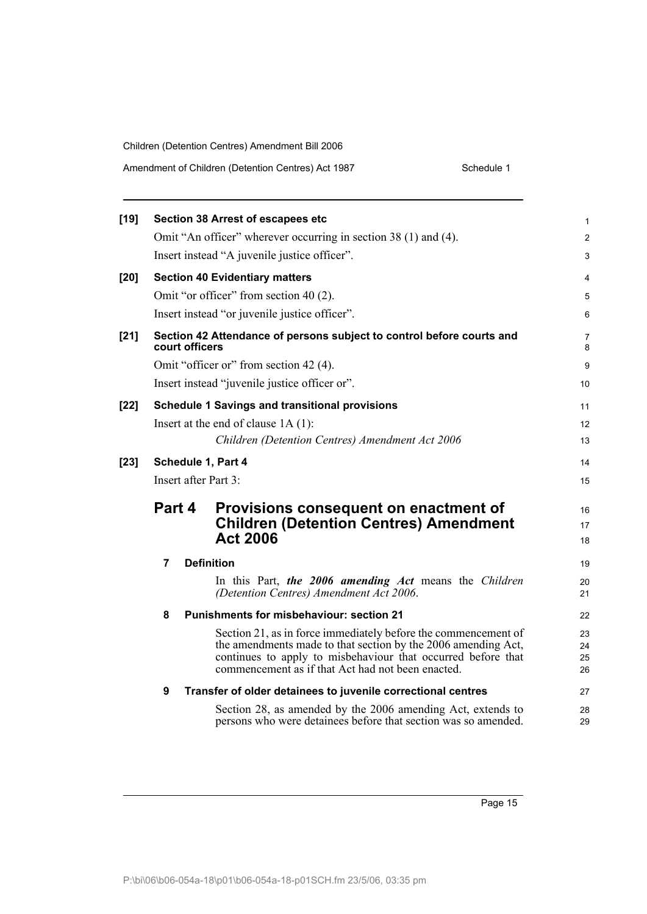|  | Amendment of Children (Detention Centres) Act 1987 |  |  | Schedule 1 |
|--|----------------------------------------------------|--|--|------------|
|--|----------------------------------------------------|--|--|------------|

| $[19]$ |                      |                | <b>Section 38 Arrest of escapees etc</b>                                                                                                                                                                                                             | 1                    |  |  |  |
|--------|----------------------|----------------|------------------------------------------------------------------------------------------------------------------------------------------------------------------------------------------------------------------------------------------------------|----------------------|--|--|--|
|        |                      |                | Omit "An officer" wherever occurring in section 38 (1) and (4).                                                                                                                                                                                      | $\overline{c}$       |  |  |  |
|        |                      |                | Insert instead "A juvenile justice officer".                                                                                                                                                                                                         | 3                    |  |  |  |
| $[20]$ |                      |                | <b>Section 40 Evidentiary matters</b>                                                                                                                                                                                                                | 4                    |  |  |  |
|        |                      |                | Omit "or officer" from section 40 (2).                                                                                                                                                                                                               | 5                    |  |  |  |
|        |                      |                | Insert instead "or juvenile justice officer".                                                                                                                                                                                                        | 6                    |  |  |  |
| $[21]$ |                      | court officers | Section 42 Attendance of persons subject to control before courts and                                                                                                                                                                                | 7<br>8               |  |  |  |
|        |                      |                | Omit "officer or" from section 42 (4).                                                                                                                                                                                                               | 9                    |  |  |  |
|        |                      |                | Insert instead "juvenile justice officer or".                                                                                                                                                                                                        | 10                   |  |  |  |
| $[22]$ |                      |                | <b>Schedule 1 Savings and transitional provisions</b>                                                                                                                                                                                                | 11                   |  |  |  |
|        |                      |                | Insert at the end of clause $1A(1)$ :                                                                                                                                                                                                                | 12                   |  |  |  |
|        |                      |                | Children (Detention Centres) Amendment Act 2006                                                                                                                                                                                                      | 13                   |  |  |  |
| $[23]$ |                      |                | Schedule 1, Part 4                                                                                                                                                                                                                                   | 14                   |  |  |  |
|        | Insert after Part 3: |                |                                                                                                                                                                                                                                                      |                      |  |  |  |
|        | Part 4               |                | Provisions consequent on enactment of                                                                                                                                                                                                                |                      |  |  |  |
|        |                      |                | <b>Children (Detention Centres) Amendment</b>                                                                                                                                                                                                        | 16<br>17             |  |  |  |
|        |                      |                | <b>Act 2006</b>                                                                                                                                                                                                                                      | 18                   |  |  |  |
|        | 7                    |                | <b>Definition</b>                                                                                                                                                                                                                                    | 19                   |  |  |  |
|        |                      |                | In this Part, the 2006 amending Act means the Children<br>(Detention Centres) Amendment Act 2006.                                                                                                                                                    | 20<br>21             |  |  |  |
|        | 8                    |                | <b>Punishments for misbehaviour: section 21</b>                                                                                                                                                                                                      | 22                   |  |  |  |
|        |                      |                | Section 21, as in force immediately before the commencement of<br>the amendments made to that section by the 2006 amending Act,<br>continues to apply to misbehaviour that occurred before that<br>commencement as if that Act had not been enacted. | 23<br>24<br>25<br>26 |  |  |  |
|        | 9                    |                | Transfer of older detainees to juvenile correctional centres                                                                                                                                                                                         | 27                   |  |  |  |
|        |                      |                | Section 28, as amended by the 2006 amending Act, extends to<br>persons who were detainees before that section was so amended.                                                                                                                        | 28<br>29             |  |  |  |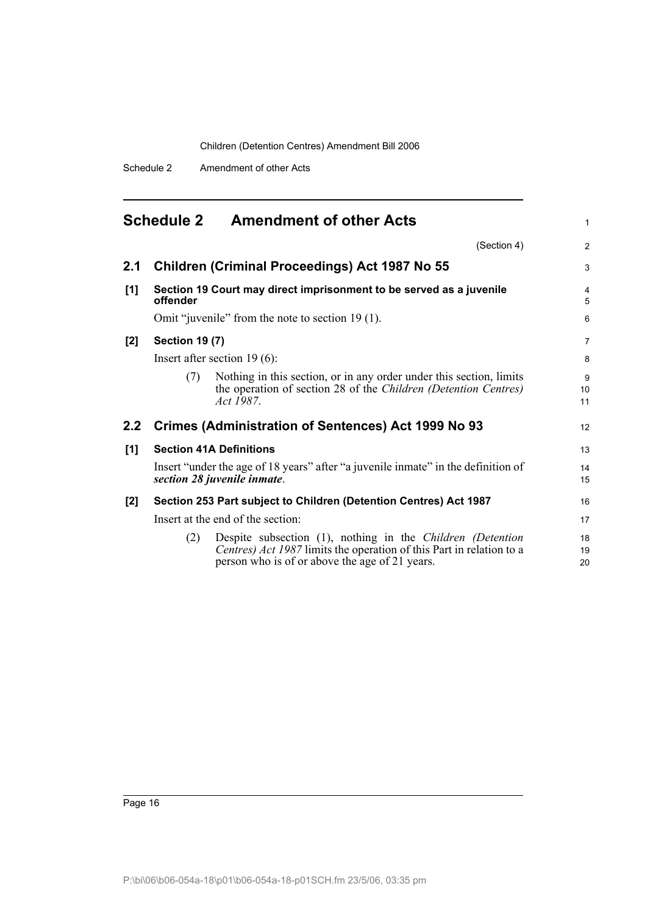Schedule 2 Amendment of other Acts

<span id="page-23-0"></span>

|     | <b>Schedule 2</b>     | <b>Amendment of other Acts</b>                                                                                                                                                              | $\mathbf{1}$        |
|-----|-----------------------|---------------------------------------------------------------------------------------------------------------------------------------------------------------------------------------------|---------------------|
|     |                       | (Section 4)                                                                                                                                                                                 | $\overline{2}$      |
| 2.1 |                       | Children (Criminal Proceedings) Act 1987 No 55                                                                                                                                              | 3                   |
| [1] | offender              | Section 19 Court may direct imprisonment to be served as a juvenile                                                                                                                         | $\overline{4}$<br>5 |
|     |                       | Omit "juvenile" from the note to section 19 (1).                                                                                                                                            | 6                   |
| [2] | <b>Section 19 (7)</b> |                                                                                                                                                                                             | $\overline{7}$      |
|     |                       | Insert after section $19(6)$ :                                                                                                                                                              | 8                   |
|     | (7)                   | Nothing in this section, or in any order under this section, limits<br>the operation of section 28 of the Children (Detention Centres)<br><i>Act</i> 1987.                                  | 9<br>10<br>11       |
| 2.2 |                       | Crimes (Administration of Sentences) Act 1999 No 93                                                                                                                                         | 12                  |
| [1] |                       | <b>Section 41A Definitions</b>                                                                                                                                                              | 13                  |
|     |                       | Insert "under the age of 18 years" after "a juvenile inmate" in the definition of<br>section 28 juvenile inmate.                                                                            | 14<br>15            |
| [2] |                       | Section 253 Part subject to Children (Detention Centres) Act 1987                                                                                                                           | 16                  |
|     |                       | Insert at the end of the section:                                                                                                                                                           | 17                  |
|     | (2)                   | Despite subsection (1), nothing in the Children (Detention<br><i>Centres) Act 1987</i> limits the operation of this Part in relation to a<br>person who is of or above the age of 21 years. | 18<br>19<br>20      |